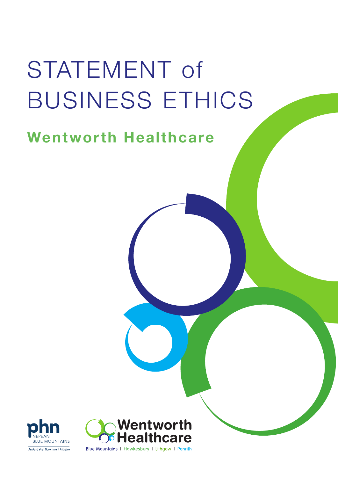# STATEMENT of BUSINESS ETHICS

# Wentworth Healthcare





Blue Mountains | Hawkesbury | Lithgow | Penrith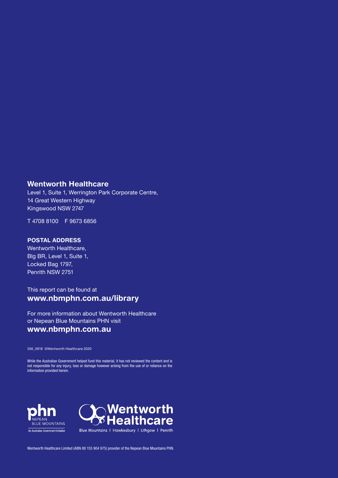#### Wentworth Healthcare

Level 1, Suite 1, Werrington Park Corporate Centre, 14 Great Western Highway Kingswood NSW 2747

T 4708 8100 F 9673 6856

#### POSTAL ADDRESS

Wentworth Healthcare, Blg BR, Level 1, Suite 1, Locked Bag 1797, Penrith NSW 2751

#### This report can be found at www.nbmphn.com.au/library

For more information about Wentworth Healthcare or Nepean Blue Mountains PHN visit www.nbmphn.com.au

356\_0918 ©Wentworth Healthcare 2020

While the Australian Government helped fund this material, it has not reviewed the content and is not responsible for any injury, loss or damage however arising from the use of or reliance on the information provided herein.





Wentworth Healthcare Limited (ABN 88 155 904 975) provider of the Nepean Blue Mountains PHN.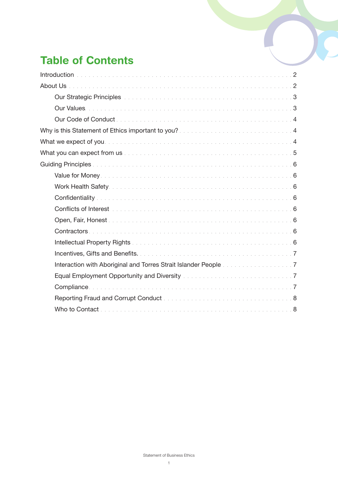# Table of Contents

| Our Strategic Principles <b>Discussed Automobile Contract Contract Contract Contract Contract Contract Contract Contract Contract Contract Contract Contract Contract Contract Contract Contract Contract Contract Contract Cont</b> |  |
|--------------------------------------------------------------------------------------------------------------------------------------------------------------------------------------------------------------------------------------|--|
|                                                                                                                                                                                                                                      |  |
|                                                                                                                                                                                                                                      |  |
| Why is this Statement of Ethics important to you? <b>Will and Statement Controller and Statement</b> 4                                                                                                                               |  |
|                                                                                                                                                                                                                                      |  |
|                                                                                                                                                                                                                                      |  |
|                                                                                                                                                                                                                                      |  |
|                                                                                                                                                                                                                                      |  |
|                                                                                                                                                                                                                                      |  |
|                                                                                                                                                                                                                                      |  |
|                                                                                                                                                                                                                                      |  |
|                                                                                                                                                                                                                                      |  |
|                                                                                                                                                                                                                                      |  |
|                                                                                                                                                                                                                                      |  |
|                                                                                                                                                                                                                                      |  |
| Interaction with Aboriginal and Torres Strait Islander People manufacturers and T                                                                                                                                                    |  |
|                                                                                                                                                                                                                                      |  |
|                                                                                                                                                                                                                                      |  |
|                                                                                                                                                                                                                                      |  |
|                                                                                                                                                                                                                                      |  |
|                                                                                                                                                                                                                                      |  |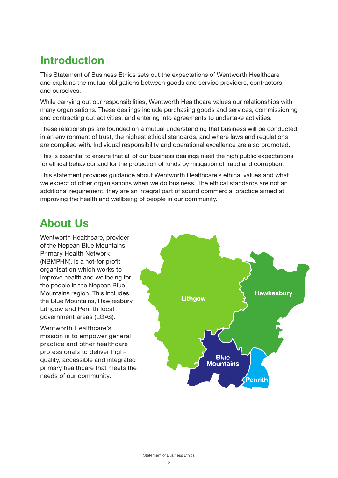## Introduction

This Statement of Business Ethics sets out the expectations of Wentworth Healthcare and explains the mutual obligations between goods and service providers, contractors and ourselves.

While carrying out our responsibilities, Wentworth Healthcare values our relationships with many organisations. These dealings include purchasing goods and services, commissioning and contracting out activities, and entering into agreements to undertake activities.

These relationships are founded on a mutual understanding that business will be conducted in an environment of trust, the highest ethical standards, and where laws and regulations are complied with. Individual responsibility and operational excellence are also promoted.

This is essential to ensure that all of our business dealings meet the high public expectations for ethical behaviour and for the protection of funds by mitigation of fraud and corruption.

This statement provides guidance about Wentworth Healthcare's ethical values and what we expect of other organisations when we do business. The ethical standards are not an additional requirement, they are an integral part of sound commercial practice aimed at improving the health and wellbeing of people in our community.

## About Us

Wentworth Healthcare, provider of the Nepean Blue Mountains Primary Health Network (NBMPHN), is a not-for profit organisation which works to improve health and wellbeing for the people in the Nepean Blue Mountains region. This includes the Blue Mountains, Hawkesbury, Lithgow and Penrith local government areas (LGAs).

Wentworth Healthcare's mission is to empower general practice and other healthcare professionals to deliver highquality, accessible and integrated primary healthcare that meets the needs of our community.

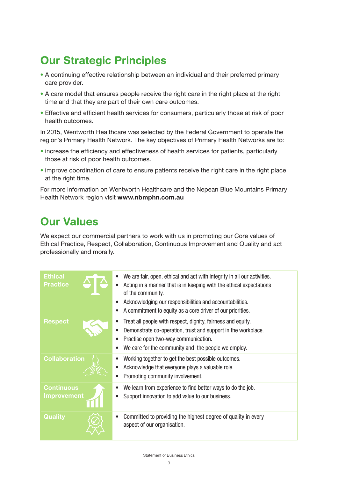# Our Strategic Principles

- A continuing effective relationship between an individual and their preferred primary care provider.
- A care model that ensures people receive the right care in the right place at the right time and that they are part of their own care outcomes.
- Effective and efficient health services for consumers, particularly those at risk of poor health outcomes.

In 2015, Wentworth Healthcare was selected by the Federal Government to operate the region's Primary Health Network. The key objectives of Primary Health Networks are to:

- increase the efficiency and effectiveness of health services for patients, particularly those at risk of poor health outcomes.
- improve coordination of care to ensure patients receive the right care in the right place at the right time.

For more information on Wentworth Healthcare and the Nepean Blue Mountains Primary Health Network region visit www.nbmphn.com.au

## Our Values

We expect our commercial partners to work with us in promoting our Core values of Ethical Practice, Respect, Collaboration, Continuous Improvement and Quality and act professionally and morally.

| <b>Ethical</b><br><b>Practice</b>       | We are fair, open, ethical and act with integrity in all our activities.<br>Acting in a manner that is in keeping with the ethical expectations<br>of the community.<br>Acknowledging our responsibilities and accountabilities.<br>A commitment to equity as a core driver of our priorities. |
|-----------------------------------------|------------------------------------------------------------------------------------------------------------------------------------------------------------------------------------------------------------------------------------------------------------------------------------------------|
| <b>Respect</b>                          | Treat all people with respect, dignity, fairness and equity.<br>Demonstrate co-operation, trust and support in the workplace.<br>Practise open two-way communication.<br>We care for the community and the people we employ.                                                                   |
| <b>Collaboration</b>                    | Working together to get the best possible outcomes.<br>Acknowledge that everyone plays a valuable role.<br>Promoting community involvement.                                                                                                                                                    |
| <b>Continuous</b><br><b>Improvement</b> | We learn from experience to find better ways to do the job.<br>Support innovation to add value to our business.                                                                                                                                                                                |
| <b>Quality</b>                          | Committed to providing the highest degree of quality in every<br>aspect of our organisation.                                                                                                                                                                                                   |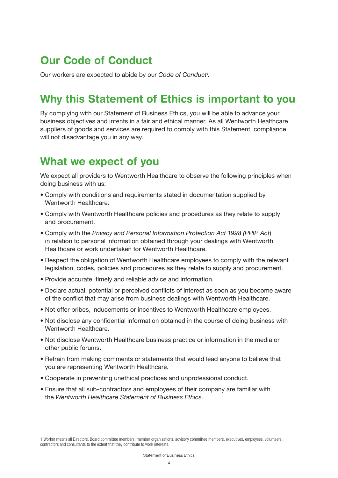## Our Code of Conduct

Our workers are expected to abide by our Code of Conduct<sup>1</sup>.

## Why this Statement of Ethics is important to you

By complying with our Statement of Business Ethics, you will be able to advance your business objectives and intents in a fair and ethical manner. As all Wentworth Healthcare suppliers of goods and services are required to comply with this Statement, compliance will not disadvantage you in any way.

## What we expect of you

We expect all providers to Wentworth Healthcare to observe the following principles when doing business with us:

- Comply with conditions and requirements stated in documentation supplied by Wentworth Healthcare.
- Comply with Wentworth Healthcare policies and procedures as they relate to supply and procurement.
- Comply with the Privacy and Personal Information Protection Act 1998 (PPIP Act) in relation to personal information obtained through your dealings with Wentworth Healthcare or work undertaken for Wentworth Healthcare.
- Respect the obligation of Wentworth Healthcare employees to comply with the relevant legislation, codes, policies and procedures as they relate to supply and procurement.
- Provide accurate, timely and reliable advice and information.
- • Declare actual, potential or perceived conflicts of interest as soon as you become aware of the conflict that may arise from business dealings with Wentworth Healthcare.
- Not offer bribes, inducements or incentives to Wentworth Healthcare employees.
- Not disclose any confidential information obtained in the course of doing business with Wentworth Healthcare.
- Not disclose Wentworth Healthcare business practice or information in the media or other public forums.
- Refrain from making comments or statements that would lead anyone to believe that you are representing Wentworth Healthcare.
- Cooperate in preventing unethical practices and unprofessional conduct.
- Ensure that all sub-contractors and employees of their company are familiar with the Wentworth Healthcare Statement of Business Ethics.

<sup>1</sup> Worker means all Directors, Board committee members, member organisations, advisory committee members, executives, employees, volunteers, contractors and consultants to the extent that they contribute to work interests.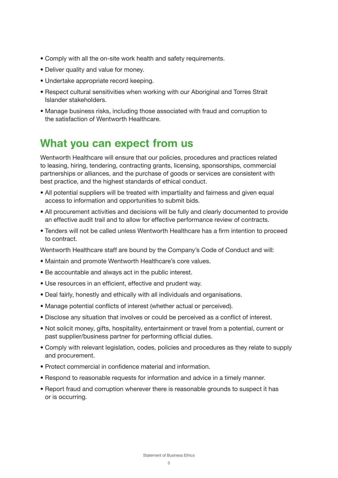- Comply with all the on-site work health and safety requirements.
- Deliver quality and value for money.
- Undertake appropriate record keeping.
- Respect cultural sensitivities when working with our Aboriginal and Torres Strait Islander stakeholders.
- Manage business risks, including those associated with fraud and corruption to the satisfaction of Wentworth Healthcare.

## What you can expect from us

Wentworth Healthcare will ensure that our policies, procedures and practices related to leasing, hiring, tendering, contracting grants, licensing, sponsorships, commercial partnerships or alliances, and the purchase of goods or services are consistent with best practice, and the highest standards of ethical conduct.

- All potential suppliers will be treated with impartiality and fairness and given equal access to information and opportunities to submit bids.
- All procurement activities and decisions will be fully and clearly documented to provide an effective audit trail and to allow for effective performance review of contracts.
- Tenders will not be called unless Wentworth Healthcare has a firm intention to proceed to contract.

Wentworth Healthcare staff are bound by the Company's Code of Conduct and will:

- Maintain and promote Wentworth Healthcare's core values.
- Be accountable and always act in the public interest.
- Use resources in an efficient, effective and prudent way.
- Deal fairly, honestly and ethically with all individuals and organisations.
- • Manage potential conflicts of interest (whether actual or perceived).
- • Disclose any situation that involves or could be perceived as a conflict of interest.
- Not solicit money, gifts, hospitality, entertainment or travel from a potential, current or past supplier/business partner for performing official duties.
- Comply with relevant legislation, codes, policies and procedures as they relate to supply and procurement.
- Protect commercial in confidence material and information.
- Respond to reasonable requests for information and advice in a timely manner.
- Report fraud and corruption wherever there is reasonable grounds to suspect it has or is occurring.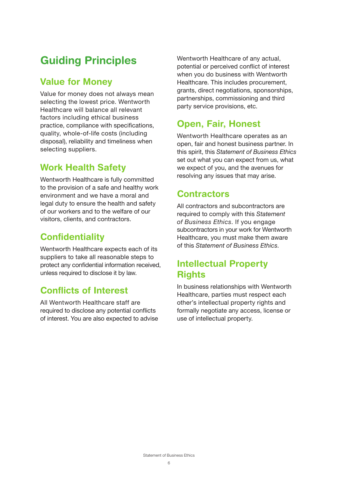# Guiding Principles

#### Value for Money

Value for money does not always mean selecting the lowest price. Wentworth Healthcare will balance all relevant factors including ethical business practice, compliance with specifications, quality, whole-of-life costs (including disposal), reliability and timeliness when selecting suppliers.

#### Work Health Safety

Wentworth Healthcare is fully committed to the provision of a safe and healthy work environment and we have a moral and legal duty to ensure the health and safety of our workers and to the welfare of our visitors, clients, and contractors.

#### **Confidentiality**

Wentworth Healthcare expects each of its suppliers to take all reasonable steps to protect any confidential information received, unless required to disclose it by law.

#### Conflicts of Interest

All Wentworth Healthcare staff are required to disclose any potential conflicts of interest. You are also expected to advise Wentworth Healthcare of any actual, potential or perceived conflict of interest when you do business with Wentworth Healthcare. This includes procurement, grants, direct negotiations, sponsorships, partnerships, commissioning and third party service provisions, etc.

## Open, Fair, Honest

Wentworth Healthcare operates as an open, fair and honest business partner. In this spirit, this Statement of Business Ethics set out what you can expect from us, what we expect of you, and the avenues for resolving any issues that may arise.

#### **Contractors**

All contractors and subcontractors are required to comply with this Statement of Business Ethics. If you engage subcontractors in your work for Wentworth Healthcare, you must make them aware of this Statement of Business Ethics.

#### Intellectual Property **Rights**

In business relationships with Wentworth Healthcare, parties must respect each other's intellectual property rights and formally negotiate any access, license or use of intellectual property.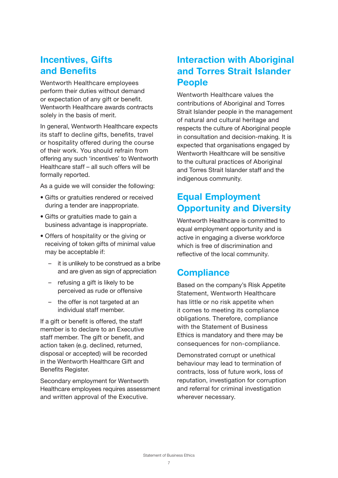#### Incentives, Gifts and Benefits

Wentworth Healthcare employees perform their duties without demand or expectation of any gift or benefit. Wentworth Healthcare awards contracts solely in the basis of merit.

In general, Wentworth Healthcare expects its staff to decline gifts, benefits, travel or hospitality offered during the course of their work. You should refrain from offering any such 'incentives' to Wentworth Healthcare staff – all such offers will be formally reported.

As a guide we will consider the following:

- Gifts or gratuities rendered or received during a tender are inappropriate.
- Gifts or gratuities made to gain a business advantage is inappropriate.
- Offers of hospitality or the giving or receiving of token gifts of minimal value may be acceptable if:
	- it is unlikely to be construed as a bribe and are given as sign of appreciation
	- refusing a gift is likely to be perceived as rude or offensive
	- the offer is not targeted at an individual staff member.

If a gift or benefit is offered, the staff member is to declare to an Executive staff member. The gift or benefit, and action taken (e.g. declined, returned, disposal or accepted) will be recorded in the Wentworth Healthcare Gift and Benefits Register.

Secondary employment for Wentworth Healthcare employees requires assessment and written approval of the Executive.

#### Interaction with Aboriginal and Torres Strait Islander People

Wentworth Healthcare values the contributions of Aboriginal and Torres Strait Islander people in the management of natural and cultural heritage and respects the culture of Aboriginal people in consultation and decision-making. It is expected that organisations engaged by Wentworth Healthcare will be sensitive to the cultural practices of Aboriginal and Torres Strait Islander staff and the indigenous community.

### Equal Employment Opportunity and Diversity

Wentworth Healthcare is committed to equal employment opportunity and is active in engaging a diverse workforce which is free of discrimination and reflective of the local community.

#### **Compliance**

Based on the company's Risk Appetite Statement, Wentworth Healthcare has little or no risk appetite when it comes to meeting its compliance obligations. Therefore, compliance with the Statement of Business Ethics is mandatory and there may be consequences for non-compliance.

Demonstrated corrupt or unethical behaviour may lead to termination of contracts, loss of future work, loss of reputation, investigation for corruption and referral for criminal investigation wherever necessary.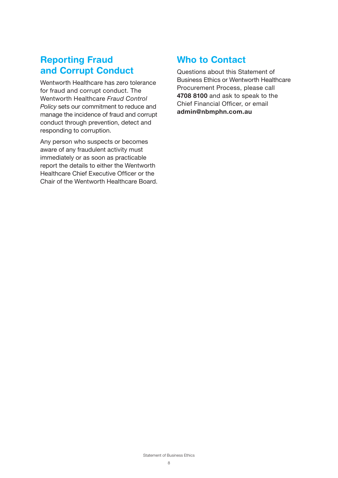#### Reporting Fraud and Corrupt Conduct

Wentworth Healthcare has zero tolerance for fraud and corrupt conduct. The Wentworth Healthcare Fraud Control Policy sets our commitment to reduce and manage the incidence of fraud and corrupt conduct through prevention, detect and responding to corruption.

Any person who suspects or becomes aware of any fraudulent activity must immediately or as soon as practicable report the details to either the Wentworth Healthcare Chief Executive Officer or the Chair of the Wentworth Healthcare Board.

#### Who to Contact

Questions about this Statement of Business Ethics or Wentworth Healthcare Procurement Process, please call 4708 8100 and ask to speak to the Chief Financial Officer, or email admin@nbmphn.com.au